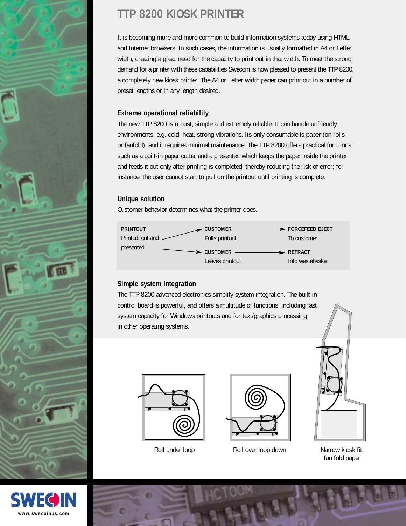

# **TTP 8200 KIOSK PRINTER**

It is becoming more and more common to build information systems today using HTML and Internet browsers. In such cases, the information is usually formatted in A4 or Letter width, creating a great need for the capacity to print out in that width. To meet the strong demand for a printer with these capabilities Swecoin is now pleased to present the TTP 8200, a completely new kiosk printer. The A4 or Letter width paper can print out in a number of preset lengths or in any length desired.

### **Extreme operational reliability**

The new TTP 8200 is robust, simple and extremely reliable. It can handle unfriendly environments, e.g. cold, heat, strong vibrations. Its only consumable is paper (on rolls or fanfold), and it requires minimal maintenance. The TTP 8200 offers practical functions such as a built-in paper cutter and a presenter, which keeps the paper inside the printer and feeds it out only after printing is completed, thereby reducing the risk of error; for instance, the user cannot start to pull on the printout until printing is complete.

# **Unique solution**

Customer behavior determines what the printer does.



# **Simple system integration**

The TTP 8200 advanced electronics simplify system integration. The built-in control board is powerful, and offers a multitude of functions, including fast system capacity for Windows printouts and for text/graphics processing in other operating systems.





Roll under loop **Roll over loop down** Narrow kiosk fit,



fan fold paper



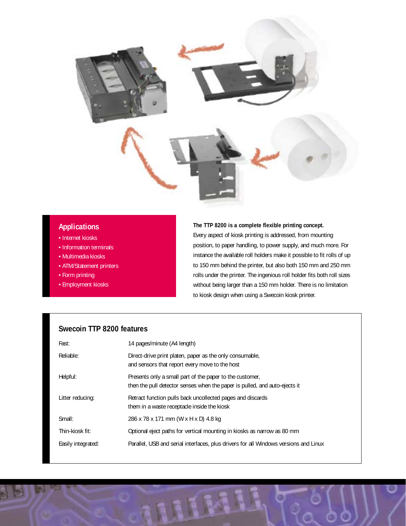

#### **Applications**

- Internet kiosks
- Information terminals
- Multimedia kiosks
- ATM/Statement printers
- Form printing
- Employment kiosks

#### **The TTP 8200 is a complete flexible printing concept.**

Every aspect of kiosk printing is addressed, from mounting position, to paper handling, to power supply, and much more. For instance the available roll holders make it possible to fit rolls of up to 150 mm behind the printer, but also both 150 mm and 250 mm rolls under the printer. The ingenious roll holder fits both roll sizes without being larger than a 150 mm holder. There is no limitation to kiosk design when using a Swecoin kiosk printer.

### **Swecoin TTP 8200 features**

| Fast:              | 14 pages/minute (A4 length)                                                                                                            |
|--------------------|----------------------------------------------------------------------------------------------------------------------------------------|
| Reliable:          | Direct-drive print platen, paper as the only consumable,<br>and sensors that report every move to the host                             |
| Helpful:           | Presents only a small part of the paper to the customer.<br>then the pull detector senses when the paper is pulled, and auto-ejects it |
| Litter reducing:   | Retract function pulls back uncollected pages and discards<br>them in a waste receptacle inside the kiosk                              |
| Small:             | 286 x 78 x 171 mm (W x H x D) 4.8 kg                                                                                                   |
| Thin-kiosk fit:    | Optional eject paths for vertical mounting in kiosks as narrow as 80 mm                                                                |
| Easily integrated: | Parallel, USB and serial interfaces, plus drivers for all Windows versions and Linux                                                   |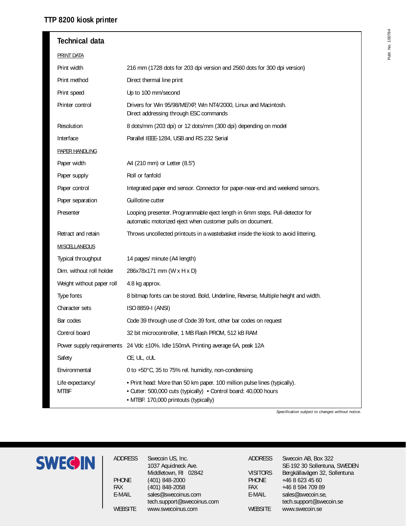#### **TTP 8200 kiosk printer**

| <b>Technical data</b>           |                                                                                                                                                                                        |
|---------------------------------|----------------------------------------------------------------------------------------------------------------------------------------------------------------------------------------|
| <b>PRINT DATA</b>               |                                                                                                                                                                                        |
| Print width                     | 216 mm (1728 dots for 203 dpi version and 2560 dots for 300 dpi version)                                                                                                               |
| Print method                    | Direct thermal line print                                                                                                                                                              |
| Print speed                     | Up to 100 mm/second                                                                                                                                                                    |
| Printer control                 | Drivers for Win 95/98/ME/XP, Win NT4/2000, Linux and Macintosh.<br>Direct addressing through ESC commands                                                                              |
| Resolution                      | 8 dots/mm (203 dpi) or 12 dots/mm (300 dpi) depending on model                                                                                                                         |
| Interface                       | Parallel IEEE-1284, USB and RS 232 Serial                                                                                                                                              |
| <b>PAPER HANDLING</b>           |                                                                                                                                                                                        |
| Paper width                     | A4 (210 mm) or Letter (8.5")                                                                                                                                                           |
| Paper supply                    | Roll or fanfold                                                                                                                                                                        |
| Paper control                   | Integrated paper end sensor. Connector for paper-near-end and weekend sensors.                                                                                                         |
| Paper separation                | Guillotine cutter                                                                                                                                                                      |
| Presenter                       | Looping presenter. Programmable eject length in 6mm steps. Pull-detector for<br>automatic motorized eject when customer pulls on document.                                             |
| Retract and retain              | Throws uncollected printouts in a wastebasket inside the kiosk to avoid littering.                                                                                                     |
| <b>MISCELLANEOUS</b>            |                                                                                                                                                                                        |
| Typical throughput              | 14 pages/ minute (A4 length)                                                                                                                                                           |
| Dim. without roll holder        | 286x78x171 mm (W x H x D)                                                                                                                                                              |
| Weight without paper roll       | 4.8 kg approx.                                                                                                                                                                         |
| Type fonts                      | 8 bitmap fonts can be stored. Bold, Underline, Reverse, Multiple height and width.                                                                                                     |
| Character sets                  | ISO 8859-I (ANSI)                                                                                                                                                                      |
| Bar codes                       | Code 39 through use of Code 39 font, other bar codes on request                                                                                                                        |
| Control board                   | 32 bit microcontroller, 1 MB Flash PROM, 512 kB RAM                                                                                                                                    |
|                                 | Power supply requirements 24 Vdc ±10%. Idle 150mA. Printing average 6A, peak 12A                                                                                                       |
| Safety                          | CE, UL, cUL                                                                                                                                                                            |
| Environmental                   | 0 to +50°C, 35 to 75% rel. humidity, non-condensing                                                                                                                                    |
| Life expectancy/<br><b>MTBF</b> | • Print head: More than 50 km paper. 100 million pulse lines (typically).<br>• Cutter: 500,000 cuts (typically) • Control board: 40,000 hours<br>• MTBF: 170,000 printouts (typically) |

*Specification subject to changes without notice.*